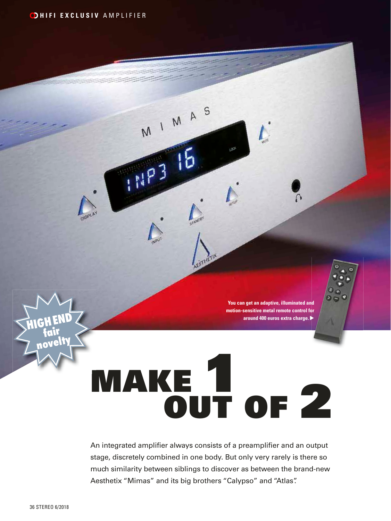**DHIFI EXCLUSIV AMPLIFIER** 

**You can get an adaptive, illuminated and motion-sensitive metal remote control for around 400 euros extra charge.** 

## MAKE 1 OUT OF 2

MIMAS

**THE3 16** 

An integrated amplifier always consists of a preamplifier and an output stage, discretely combined in one body. But only very rarely is there so much similarity between siblings to discover as between the brand-new Aesthetix "Mimas" and its big brothers "Calypso" and "Atlas".

**HIGH END fair**

**novelty**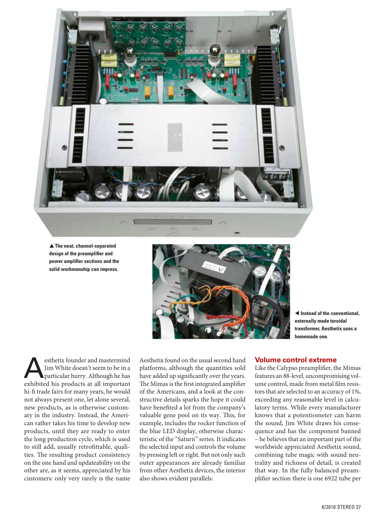

**▲ The neat, channel-separated design of the preamplifier and power amplifier sections and the solid workmanship can impress.**



 $\triangleleft$  Instead of the conventional. **externally made toroidal transformer, Aesthetix uses a homemade one.**

esthetix founder and mastermind<br>
Jim White doesn't seem to be in a<br>
particular hurry. Although he has<br>
axhibited his products at all important Jim White doesn't seem to be in a exhibited his products at all important hi-fi trade fairs for many years, he would not always present one, let alone several, new products, as is otherwise customary in the industry. Instead, the American rather takes his time to develop new products, until they are ready to enter the long production cycle, which is used to still add, usually retrofittable, qualities. The resulting product consistency on the one hand and updateability on the other are, as it seems, appreciated by his customers: only very rarely is the name

Aesthetix found on the usual second hand platforms, although the quantities sold have added up significantly over the years. The Mimas is the first integrated amplifier of the Americans, and a look at the constructive details sparks the hope it could have benefited a lot from the company's valuable gene pool on its way. This, for example, includes the rocker function of the blue LED display, otherwise characteristic of the "Saturn" series. It indicates the selected input and controls the volume by pressing left or right. But not only such outer appearances are already familiar from other Aesthetix devices, the interior also shows evident parallels:

## **Volume control extreme**

Like the Calypso preamplifier, the Mimas features an 88-level, uncompromising volume control, made from metal film resistors that are selected to an accuracy of 1%, exceeding any reasonable level in calculatory terms. While every manufacturer knows that a potentiometer can harm the sound, Jim White draws his consequence and has the component banned – he believes that an important part of the worldwide appreciated Aesthetix sound, combining tube magic with sound neutrality and richness of detail, is created that way. In the fully balanced preamplifier section there is one 6922 tube per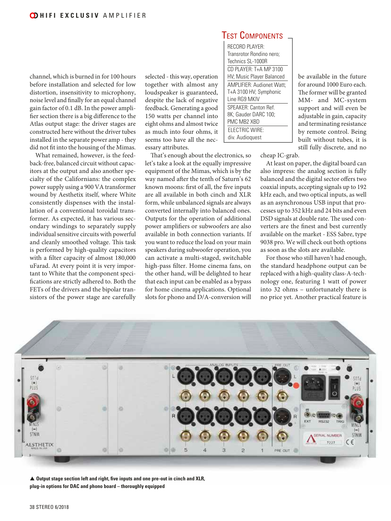

What remained, however, is the feedback-free, balanced circuit without capacitors at the output and also another specialty of the Californians: the complex power supply using a 900 VA transformer wound by Aesthetix itself, where White consistently dispenses with the installation of a conventional toroidal transformer. As expected, it has various secondary windings to separately supply individual sensitive circuits with powerful and cleanly smoothed voltage. This task is performed by high-quality capacitors with a filter capacity of almost 180,000 uFarad. At every point it is very important to White that the component specifications are strictly adhered to. Both the FETs of the drivers and the bipolar transistors of the power stage are carefully

selected - this way, operation together with almost any loudspeaker is guaranteed, despite the lack of negative feedback. Generating a good 150 watts per channel into eight ohms and almost twice as much into four ohms, it seems too have all the necessary attributes. That's enough about the electronics, so

let's take a look at the equally impressive equipment of the Mimas, which is by the way named after the tenth of Saturn's 62 known moons: first of all, the five inputs are all available in both cinch and XLR form, while unbalanced signals are always converted internally into balanced ones. Outputs for the operation of additional power amplifiers or subwoofers are also available in both connection variants. If you want to reduce the load on your main speakers during subwoofer operation, you can activate a multi-staged, switchable high-pass filter. Home cinema fans, on the other hand, will be delighted to hear that each input can be enabled as a bypass for home cinema applications. Optional slots for phono and D/A-conversion will

## Test Components

RECORD PLAYER: Transrotor Rondino nero; Technics SL-1000R  $CD$  PLAYER: T+A MP 3100 HV; Music Player Balanced AMPLIFIER: Audionet Watt; T+A 3100 HV; Symphonic Line RG9 MKIV SPEAKER: Canton Ref. 8K; Gauder DARC 100; PMC MB2 XBD ELECTRIC WIRE: div. Audioquest

be available in the future for around 1000 Euro each. The former will be granted MM- and MC-system support and will even be adjustable in gain, capacity and terminating resistance by remote control. Being built without tubes, it is still fully discrete, and no

cheap IC-grab.

At least on paper, the digital board can also impress: the analog section is fully balanced and the digital sector offers two coaxial inputs, accepting signals up to 192 kHz each, and two optical inputs, as well as an asynchronous USB input that processes up to 352 kHz and 24 bits and even DSD signals at double rate. The used converters are the finest and best currently available on the market - ESS Sabre, type 9038 pro. We will check out both options as soon as the slots are available.

For those who still haven't had enough, the standard headphone output can be replaced with a high-quality class-A-technology one, featuring 1 watt of power into 32 ohms – unfortunately there is no price yet. Another practical feature is



▲ Output stage section left and right, five inputs and one pre-out in cinch and XLR, **plug-in options for DAC and phono board – thoroughly equipped**